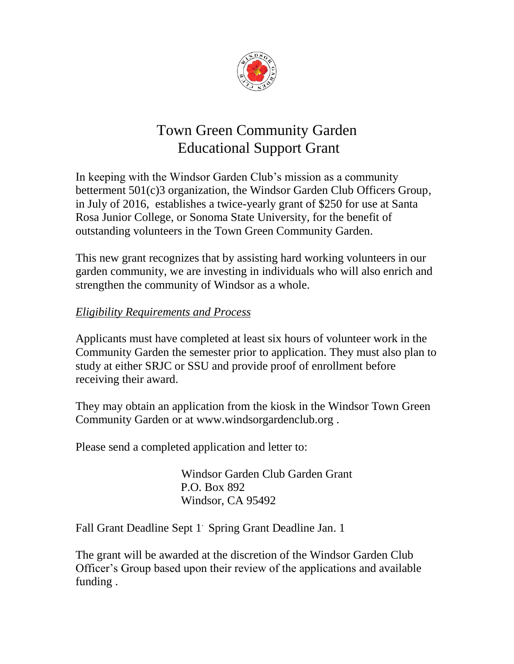

## Town Green Community Garden Educational Support Grant

In keeping with the Windsor Garden Club's mission as a community betterment 501(c)3 organization, the Windsor Garden Club Officers Group, in July of 2016, establishes a twice-yearly grant of \$250 for use at Santa Rosa Junior College, or Sonoma State University, for the benefit of outstanding volunteers in the Town Green Community Garden.

This new grant recognizes that by assisting hard working volunteers in our garden community, we are investing in individuals who will also enrich and strengthen the community of Windsor as a whole.

## *Eligibility Requirements and Process*

Applicants must have completed at least six hours of volunteer work in the Community Garden the semester prior to application. They must also plan to study at either SRJC or SSU and provide proof of enrollment before receiving their award.

They may obtain an application from the kiosk in the Windsor Town Green Community Garden or at www.windsorgardenclub.org .

Please send a completed application and letter to:

 Windsor Garden Club Garden Grant P.O. Box 892 Windsor, CA 95492

Fall Grant Deadline Sept 1 Spring Grant Deadline Jan. 1

The grant will be awarded at the discretion of the Windsor Garden Club Officer's Group based upon their review of the applications and available funding .